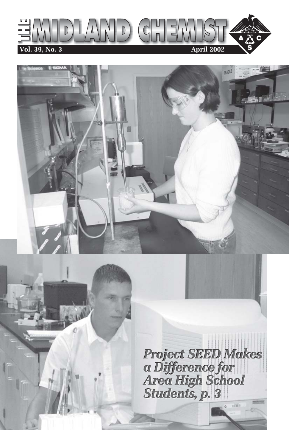



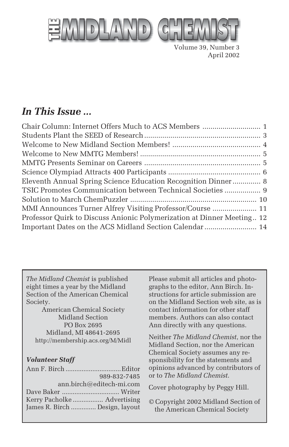

Volume 39, Number 3 April 2002

## *In This Issue ...*

| Eleventh Annual Spring Science Education Recognition Dinner 8          |
|------------------------------------------------------------------------|
| TSIC Promotes Communication between Technical Societies  9             |
|                                                                        |
| MMI Announces Turner Alfrey Visiting Professor/Course  11              |
| Professor Quirk to Discuss Anionic Polymerization at Dinner Meeting 12 |
| Important Dates on the ACS Midland Section Calendar  14                |
|                                                                        |

*The Midland Chemist* is published eight times a year by the Midland Section of the American Chemical Society.

American Chemical Society Midland Section PO Box 2695 Midland, MI 48641-2695 http://membership.acs.org/M/Midl

#### *Volunteer Staff*

|                                | 989-832-7485 |
|--------------------------------|--------------|
| ann.birch@editech-mi.com       |              |
|                                |              |
|                                |              |
| James R. Birch  Design, layout |              |

Please submit all articles and photographs to the editor, Ann Birch. Instructions for article submission are on the Midland Section web site, as is contact information for other staff members. Authors can also contact Ann directly with any questions.

Neither *The Midland Chemist*, nor the Midland Section, nor the American Chemical Society assumes any responsibility for the statements and opinions advanced by contributors of or to *The Midland Chemist*.

Cover photography by Peggy Hill.

© Copyright 2002 Midland Section of the American Chemical Society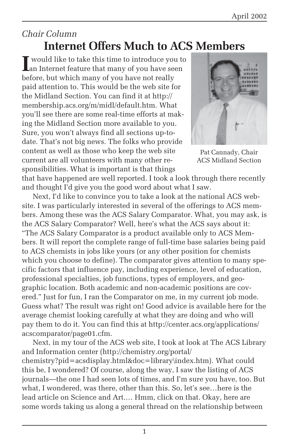## *Chair Column* **Internet Offers Much to ACS Members**

**I** would like to take this time to introduce you t<br>an Internet feature that many of you have seen would like to take this time to introduce you to before, but which many of you have not really paid attention to. This would be the web site for the Midland Section. You can find it at http:// membership.acs.org/m/midl/default.htm. What you'll see there are some real-time efforts at making the Midland Section more available to you. Sure, you won't always find all sections up-todate. That's not big news. The folks who provide content as well as those who keep the web site current are all volunteers with many other responsibilities. What is important is that things



Pat Cannady, Chair ACS Midland Section

that have happened are well reported. I took a look through there recently and thought I'd give you the good word about what I saw.

Next, I'd like to convince you to take a look at the national ACS website. I was particularly interested in several of the offerings to ACS members. Among these was the ACS Salary Comparator. What, you may ask, is the ACS Salary Comparator? Well, here's what the ACS says about it: "The ACS Salary Comparator is a product available only to ACS Members. It will report the complete range of full-time base salaries being paid to ACS chemists in jobs like yours (or any other position for chemists which you choose to define). The comparator gives attention to many specific factors that influence pay, including experience, level of education, professional specialties, job functions, types of employers, and geographic location. Both academic and non-academic positions are covered." Just for fun, I ran the Comparator on me, in my current job mode. Guess what? The result was right on! Good advice is available here for the average chemist looking carefully at what they are doing and who will pay them to do it. You can find this at http://center.acs.org/applications/ acscomparator/page01.cfm.

Next, in my tour of the ACS web site, I took at look at The ACS Library and Information center (http://chemistry.org/portal/ chemistry?pid=acsdisplay.html&doc=library\index.htm). What could this be, I wondered? Of course, along the way, I saw the listing of ACS journals—the one I had seen lots of times, and I'm sure you have, too. But what, I wondered, was there, other than this. So, let's see…here is the lead article on Science and Art.… Hmm, click on that. Okay, here are some words taking us along a general thread on the relationship between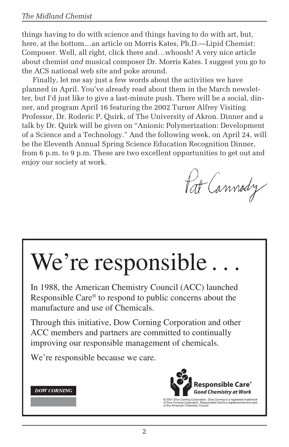things having to do with science and things having to do with art, but, here, at the bottom…an article on Morris Kates, Ph.D.—Lipid Chemist: Composer. Well, all right, click there and…whoosh! A very nice article about chemist *and* musical composer Dr. Morris Kates. I suggest you go to the ACS national web site and poke around.

Finally, let me say just a few words about the activities we have planned in April. You've already read about them in the March newsletter, but I'd just like to give a last-minute push. There will be a social, dinner, and program April 16 featuring the 2002 Turner Alfrey Visiting Professor, Dr. Roderic P. Quirk, of The University of Akron. Dinner and a talk by Dr. Quirk will be given on "Anionic Polymerization: Development of a Science and a Technology." And the following week, on April 24, will be the Eleventh Annual Spring Science Education Recognition Dinner, from 6 p.m. to 9 p.m. These are two excellent opportunities to get out and enjoy our society at work.

Pat Cannody

# We're responsible.

In 1988, the American Chemistry Council (ACC) launched Responsible Care® to respond to public concerns about the manufacture and use of Chemicals.

Through this initiative, Dow Corning Corporation and other ACC members and partners are committed to continually improving our responsible management of chemicals.

We're responsible because we care.





© 2001 Dow Corning Corporation. *Dow Corning* is a registered trademark<br>of Dow Corning Corporation. *Responsible Care* is a registered service mark<br>of the American Chemistry Council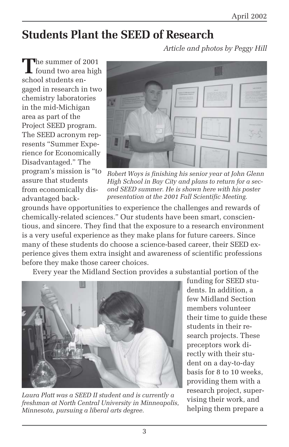## **Students Plant the SEED of Research**

*Article and photos by Peggy Hill*

**T**he summer of 2001 found two area high school students engaged in research in two chemistry laboratories in the mid-Michigan area as part of the Project SEED program. The SEED acronym represents "Summer Experience for Economically Disadvantaged." The program's mission is "to assure that students from economically disadvantaged back-



*Robert Woys is finishing his senior year at John Glenn High School in Bay City and plans to return for a second SEED summer. He is shown here with his poster presentation at the 2001 Fall Scientific Meeting.*

grounds have opportunities to experience the challenges and rewards of chemically-related sciences." Our students have been smart, conscientious, and sincere. They find that the exposure to a research environment is a very useful experience as they make plans for future careers. Since many of these students do choose a science-based career, their SEED experience gives them extra insight and awareness of scientific professions before they make those career choices.

Every year the Midland Section provides a substantial portion of the



*Laura Platt was a SEED II student and is currently a freshman at North Central University in Minneapolis, Minnesota, pursuing a liberal arts degree.*

funding for SEED students. In addition, a few Midland Section members volunteer their time to guide these students in their research projects. These preceptors work directly with their student on a day-to-day basis for 8 to 10 weeks, providing them with a research project, supervising their work, and helping them prepare a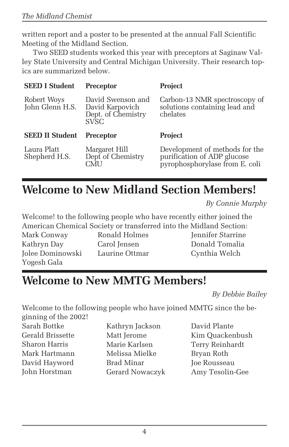written report and a poster to be presented at the annual Fall Scientific Meeting of the Midland Section.

Two SEED students worked this year with preceptors at Saginaw Valley State University and Central Michigan University. Their research topics are summarized below.

| <b>SEED I Student</b>          | <b>Preceptor</b>                                                   | <b>Project</b>                                                             |
|--------------------------------|--------------------------------------------------------------------|----------------------------------------------------------------------------|
| Robert Woys<br>John Glenn H.S. | David Swenson and<br>David Karpovich<br>Dept. of Chemistry<br>SVSC | Carbon-13 NMR spectroscopy of<br>solutions containing lead and<br>chelates |
|                                |                                                                    |                                                                            |
| <b>SEED II Student</b>         | <b>Preceptor</b>                                                   | <b>Project</b>                                                             |

## **Welcome to New Midland Section Members!**

*By Connie Murphy*

Welcome! to the following people who have recently either joined the American Chemical Society or transferred into the Midland Section:

Mark Conway Kathryn Day Jolee Dominowski Yogesh Gala

Ronald Holmes Carol Jensen Laurine Ottmar Jennifer Starrine Donald Tomalia Cynthia Welch

## **Welcome to New MMTG Members!**

*By Debbie Bailey*

Welcome to the following people who have joined MMTG since the beginning of the 2002!

Sarah Bottke Gerald Brissette Sharon Harris Mark Hartmann David Hayword John Horstman

Kathryn Jackson Matt Jerome Marie Karlsen Melissa Mielke Brad Minar Gerard Nowaczyk David Plante Kim Quackenbush Terry Reinhardt Bryan Roth Joe Rousseau Amy Tesolin-Gee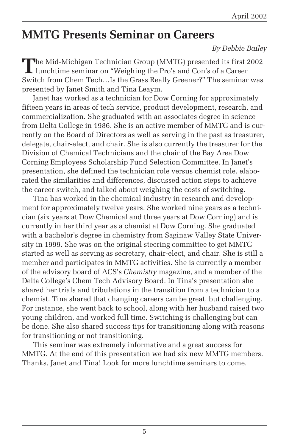## **MMTG Presents Seminar on Careers**

*By Debbie Bailey*

The Mid-Michigan Technician Group (MMTG) presented its first 2002<br>lunchtime seminar on "Weighing the Pro's and Con's of a Career<br>integration of a Career Switch from Chem Tech…Is the Grass Really Greener?" The seminar was presented by Janet Smith and Tina Leaym.

Janet has worked as a technician for Dow Corning for approximately fifteen years in areas of tech service, product development, research, and commercialization. She graduated with an associates degree in science from Delta College in 1986. She is an active member of MMTG and is currently on the Board of Directors as well as serving in the past as treasurer, delegate, chair-elect, and chair. She is also currently the treasurer for the Division of Chemical Technicians and the chair of the Bay Area Dow Corning Employees Scholarship Fund Selection Committee. In Janet's presentation, she defined the technician role versus chemist role, elaborated the similarities and differences, discussed action steps to achieve the career switch, and talked about weighing the costs of switching.

Tina has worked in the chemical industry in research and development for approximately twelve years. She worked nine years as a technician (six years at Dow Chemical and three years at Dow Corning) and is currently in her third year as a chemist at Dow Corning. She graduated with a bachelor's degree in chemistry from Saginaw Valley State University in 1999. She was on the original steering committee to get MMTG started as well as serving as secretary, chair-elect, and chair. She is still a member and participates in MMTG activities. She is currently a member of the advisory board of ACS's *Chemistry* magazine, and a member of the Delta College's Chem Tech Advisory Board. In Tina's presentation she shared her trials and tribulations in the transition from a technician to a chemist. Tina shared that changing careers can be great, but challenging. For instance, she went back to school, along with her husband raised two young children, and worked full time. Switching is challenging but can be done. She also shared success tips for transitioning along with reasons for transitioning or not transitioning.

This seminar was extremely informative and a great success for MMTG. At the end of this presentation we had six new MMTG members. Thanks, Janet and Tina! Look for more lunchtime seminars to come.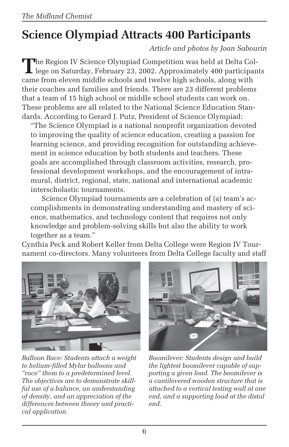# **Science Olympiad Attracts 400 Participants**

*Article and photos by Joan Sabourin*

The Region IV Science Olympiad Competition was held at Delta College on Saturday, February 23, 2002. Approximately 400 participants came from eleven middle schools and twelve high schools, along with their coaches and families and friends. There are 23 different problems that a team of 15 high school or middle school students can work on. These problems are all related to the National Science Education Standards. According to Gerard J. Putz, President of Science Olympiad:

"The Science Olympiad is a national nonprofit organization devoted to improving the quality of science education, creating a passion for learning science, and providing recognition for outstanding achievement in science education by both students and teachers. These goals are accomplished through classroom activities, research, professional development workshops, and the encouragement of intramural, district, regional, state, national and international academic interscholastic tournaments.

Science Olympiad tournaments are a celebration of (a) team's accomplishments in demonstrating understanding and mastery of science, mathematics, and technology content that requires not only knowledge and problem-solving skills but also the ability to work together as a team."

Cynthia Peck and Robert Keller from Delta College were Region IV Tournament co-directors. Many volunteers from Delta College faculty and staff



*Balloon Race: Students attach a weight to helium-filled Mylar balloons and "race" them to a predetermined level. The objectives are to demonstrate skillful use of a balance, an understanding of density, and an appreciation of the differences between theory and practical application.*



*Boomilever: Students design and build the lightest boomilever capable of supporting a given load. The boomilever is a cantilevered wooden structure that is attached to a vertical testing wall at one end, and a supporting load at the distal end.*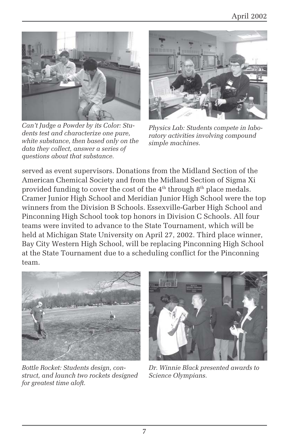

*Can't Judge a Powder by its Color: Students test and characterize one pure, white substance, then based only on the data they collect, answer a series of questions about that substance.*



*Physics Lab: Students compete in laboratory activities involving compound simple machines.*

served as event supervisors. Donations from the Midland Section of the American Chemical Society and from the Midland Section of Sigma Xi provided funding to cover the cost of the  $4<sup>th</sup>$  through  $8<sup>th</sup>$  place medals. Cramer Junior High School and Meridian Junior High School were the top winners from the Division B Schools. Essexville-Garber High School and Pinconning High School took top honors in Division C Schools. All four teams were invited to advance to the State Tournament, which will be held at Michigan State University on April 27, 2002. Third place winner, Bay City Western High School, will be replacing Pinconning High School at the State Tournament due to a scheduling conflict for the Pinconning team.



*Bottle Rocket: Students design, construct, and launch two rockets designed for greatest time aloft.*



*Dr. Winnie Black presented awards to Science Olympians.*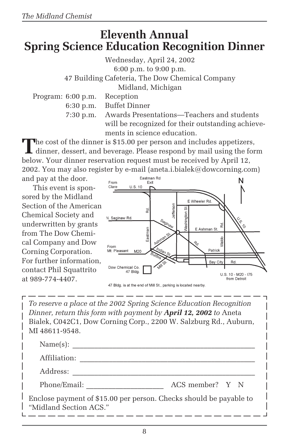## **Eleventh Annual Spring Science Education Recognition Dinner**

Wednesday, April 24, 2002 6:00 p.m. to 9:00 p.m. 47 Building Cafeteria, The Dow Chemical Company Midland, Michigan Program: 6:00 p.m. Reception 6:30 p.m. Buffet Dinner

7:30 p.m. Awards Presentations—Teachers and students will be recognized for their outstanding achievements in science education.

The cost of the dinner is \$15.00 per person and includes appetizers,<br>dinner, dessert, and beverage. Please respond by mail using the form below. Your dinner reservation request must be received by April 12, 2002. You may also register by e-mail (aneta.i.bialek@dowcorning.com)

and pay at the door. This event is sponsored by the Midland Section of the American Chemical Society and underwritten by grants from The Dow Chemical Company and Dow Corning Corporation. For further information, contact Phil Squattrito at 989-774-4407.



47 Bldg. is at the end of Mill St., parking is located nearby.

*To reserve a place at the 2002 Spring Science Education Recognition Dinner, return this form with payment by April 12, 2002 to* Aneta Bialek, C042C1, Dow Corning Corp., 2200 W. Salzburg Rd., Auburn, MI 48611-9548.

| Name(s):                                                                                     |                 |  |
|----------------------------------------------------------------------------------------------|-----------------|--|
| Affiliation:                                                                                 |                 |  |
| Address:                                                                                     |                 |  |
| Phone/Email:                                                                                 | ACS member? Y N |  |
| Enclose payment of \$15.00 per person. Checks should be payable to<br>"Midland Section ACS." |                 |  |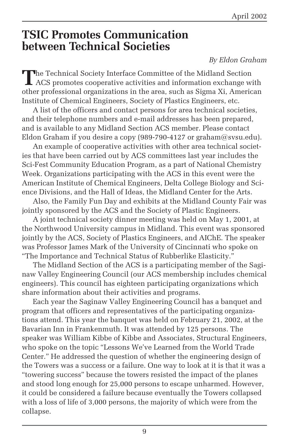## **TSIC Promotes Communication between Technical Societies**

#### *By Eldon Graham*

The Technical Society Interface Committee of the Midland Section<br>ACS promotes connective activities **L** ACS promotes cooperative activities and information exchange with other professional organizations in the area, such as Sigma Xi, American Institute of Chemical Engineers, Society of Plastics Engineers, etc.

A list of the officers and contact persons for area technical societies, and their telephone numbers and e-mail addresses has been prepared, and is available to any Midland Section ACS member. Please contact Eldon Graham if you desire a copy (989-790-4127 or graham@svsu.edu).

An example of cooperative activities with other area technical societies that have been carried out by ACS committees last year includes the Sci-Fest Community Education Program, as a part of National Chemistry Week. Organizations participating with the ACS in this event were the American Institute of Chemical Engineers, Delta College Biology and Science Divisions, and the Hall of Ideas, the Midland Center for the Arts.

Also, the Family Fun Day and exhibits at the Midland County Fair was jointly sponsored by the ACS and the Society of Plastic Engineers.

A joint technical society dinner meeting was held on May 1, 2001, at the Northwood University campus in Midland. This event was sponsored jointly by the ACS, Society of Plastics Engineers, and AIChE. The speaker was Professor James Mark of the University of Cincinnati who spoke on "The Importance and Technical Status of Rubberlike Elasticity."

The Midland Section of the ACS is a participating member of the Saginaw Valley Engineering Council (our ACS membership includes chemical engineers). This council has eighteen participating organizations which share information about their activities and programs.

Each year the Saginaw Valley Engineering Council has a banquet and program that officers and representatives of the participating organizations attend. This year the banquet was held on February 21, 2002, at the Bavarian Inn in Frankenmuth. It was attended by 125 persons. The speaker was William Kibbe of Kibbe and Associates, Structural Engineers, who spoke on the topic "Lessons We've Learned from the World Trade Center." He addressed the question of whether the engineering design of the Towers was a success or a failure. One way to look at it is that it was a "towering success" because the towers resisted the impact of the planes and stood long enough for 25,000 persons to escape unharmed. However, it could be considered a failure because eventually the Towers collapsed with a loss of life of 3,000 persons, the majority of which were from the collapse.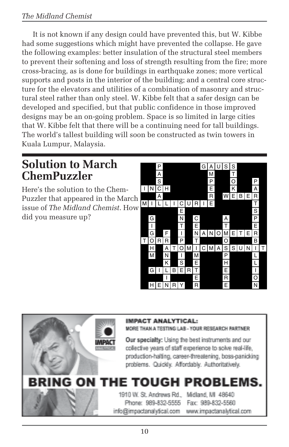#### *The Midland Chemist*

It is not known if any design could have prevented this, but W. Kibbe had some suggestions which might have prevented the collapse. He gave the following examples: better insulation of the structural steel members to prevent their softening and loss of strength resulting from the fire; more cross-bracing, as is done for buildings in earthquake zones; more vertical supports and posts in the interior of the building; and a central core structure for the elevators and utilities of a combination of masonry and structural steel rather than only steel. W. Kibbe felt that a safer design can be developed and specified, but that public confidence in those improved designs may be an on-going problem. Space is so limited in large cities that W. Kibbe felt that there will be a continuing need for tall buildings. The world's tallest building will soon be constructed as twin towers in Kuala Lumpur, Malaysia.

## **Solution to March ChemPuzzler**

Here's the solution to the Chem-Puzzler that appeared in the March issue of *The Midland Chemist*. How did you measure up?



#### **IMPACT ANALYTICAL:**

MORE THAN A TESTING LAB - YOUR RESEARCH PARTNER

Our specialty: Using the best instruments and our collective years of staff experience to solve real-life. production-halting, career-threatening, boss-panicking problems. Quickly. Affordably. Authoritatively.

#### RING ΩN PROBL

#### 1910 W. St. Andrews Rd., Phone: 989-832-5555 info@impactanalvtical.com

Midland, MI 48640 Fax: 989-832-5560 www.impactanalvtical.com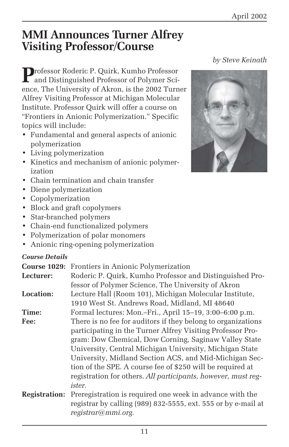## **MMI Announces Turner Alfrey Visiting Professor/Course**

**P**rofessor Roderic P. Quirk, Kumho Professor  $\blacksquare$  and Distinguished Professor of Polymer Science, The University of Akron, is the 2002 Turner Alfrey Visiting Professor at Michigan Molecular Institute. Professor Quirk will offer a course on "Frontiers in Anionic Polymerization." Specific topics will include:

- Fundamental and general aspects of anionic polymerization
- Living polymerization
- Kinetics and mechanism of anionic polymerization
- Chain termination and chain transfer
- Diene polymerization
- Copolymerization
- Block and graft copolymers
- Star-branched polymers
- Chain-end functionalized polymers
- Polymerization of polar monomers
- Anionic ring-opening polymerization

#### *Course Details*

| <b>Course Details</b> |                                                               |
|-----------------------|---------------------------------------------------------------|
| <b>Course 1029:</b>   | Frontiers in Anionic Polymerization                           |
| Lecturer:             | Roderic P. Quirk, Kumho Professor and Distinguished Pro-      |
|                       | fessor of Polymer Science, The University of Akron            |
| Location:             | Lecture Hall (Room 101), Michigan Molecular Institute,        |
|                       | 1910 West St. Andrews Road, Midland, MI 48640                 |
| Time:                 | Formal lectures: Mon.-Fri., April 15-19, 3:00-6:00 p.m.       |
| Fee:                  | There is no fee for auditors if they belong to organizations  |
|                       | participating in the Turner Alfrey Visiting Professor Pro-    |
|                       | gram: Dow Chemical, Dow Corning, Saginaw Valley State         |
|                       | University, Central Michigan University, Michigan State       |
|                       | University, Midland Section ACS, and Mid-Michigan Sec-        |
|                       | tion of the SPE. A course fee of \$250 will be required at    |
|                       | registration for others. All participants, however, must reg- |
|                       | ister.                                                        |

**Registration:** Preregistration is required one week in advance with the registrar by calling (989) 832-5555, ext. 555 or by e-mail at *registrar@mmi.org.*

### *by Steve Keinath*

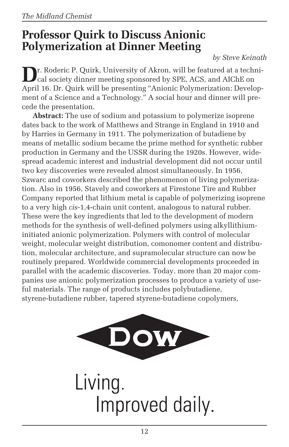## **Professor Quirk to Discuss Anionic Polymerization at Dinner Meeting**

*by Steve Keinath*

**D**r. Roderic P. Quirk, University of Akron, will be featured at a technical society dinner meeting sponsored by SPE, ACS, and AIChE on April 16. Dr. Quirk will be presenting "Anionic Polymerization: Development of a Science and a Technology." A social hour and dinner will precede the presentation.

**Abstract:** The use of sodium and potassium to polymerize isoprene dates back to the work of Matthews and Strange in England in 1910 and by Harries in Germany in 1911. The polymerization of butadiene by means of metallic sodium became the prime method for synthetic rubber production in Germany and the USSR during the 1920s. However, widespread academic interest and industrial development did not occur until two key discoveries were revealed almost simultaneously. In 1956, Szwarc and coworkers described the phenomenon of living polymerization. Also in 1956, Stavely and coworkers at Firestone Tire and Rubber Company reported that lithium metal is capable of polymerizing isoprene to a very high *cis*-1,4-chain unit content, analogous to natural rubber. These were the key ingredients that led to the development of modern methods for the synthesis of well-defined polymers using alkyllithiuminitiated anionic polymerization. Polymers with control of molecular weight, molecular weight distribution, comonomer content and distribution, molecular architecture, and supramolecular structure can now be routinely prepared. Worldwide commercial developments proceeded in parallel with the academic discoveries. Today, more than 20 major companies use anionic polymerization processes to produce a variety of useful materials. The range of products includes polybutadiene, styrene-butadiene rubber, tapered styrene-butadiene copolymers,



Living. Improved daily.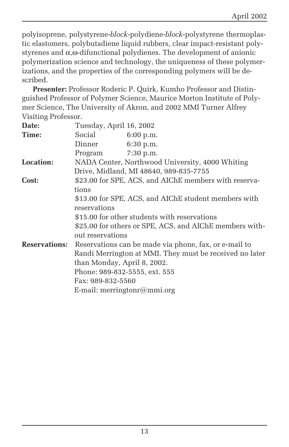polyisoprene, polystyrene-*block*-polydiene-*block*-polystyrene thermoplastic elastomers, polybutadiene liquid rubbers, clear impact-resistant polystyrenes and α,ω-difunctional polydienes. The development of anionic polymerization science and technology, the uniqueness of these polymerizations, and the properties of the corresponding polymers will be described.

**Presenter:** Professor Roderic P. Quirk, Kumho Professor and Distinguished Professor of Polymer Science, Maurice Morton Institute of Polymer Science, The University of Akron, and 2002 MMI Turner Alfrey Visiting Professor.

| Date:                | Tuesday, April 16, 2002                                 |
|----------------------|---------------------------------------------------------|
| Time:                | Social<br>6:00 p.m.                                     |
|                      | Dinner<br>6:30 p.m.                                     |
|                      | $7:30$ p.m.<br>Program                                  |
| Location:            | NADA Center, Northwood University, 4000 Whiting         |
|                      | Drive, Midland, MI 48640, 989-835-7755                  |
| Cost:                | \$23.00 for SPE, ACS, and AIChE members with reserva-   |
|                      | tions                                                   |
|                      | \$13.00 for SPE, ACS, and AIChE student members with    |
|                      | reservations                                            |
|                      | \$15.00 for other students with reservations            |
|                      | \$25.00 for others or SPE, ACS, and AIChE members with- |
|                      | out reservations                                        |
| <b>Reservations:</b> | Reservations can be made via phone, fax, or e-mail to   |
|                      | Randi Merrington at MMI. They must be received no later |
|                      | than Monday, April 8, 2002.                             |
|                      | Phone: 989-832-5555, ext. 555                           |
|                      | Fax: 989-832-5560                                       |
|                      | E-mail: merringtonr@mmi.org                             |